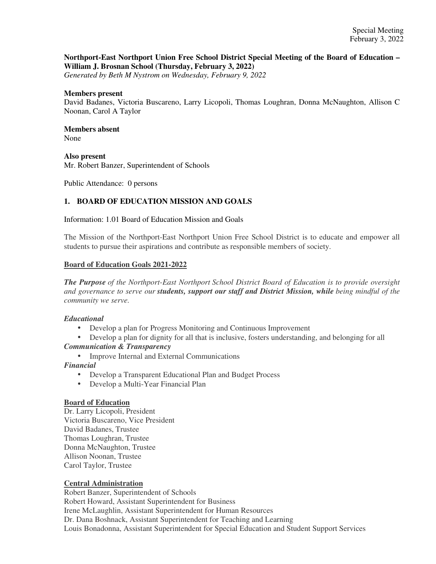## **Northport-East Northport Union Free School District Special Meeting of the Board of Education – William J. Brosnan School (Thursday, February 3, 2022)**

*Generated by Beth M Nystrom on Wednesday, February 9, 2022*

#### **Members present**

David Badanes, Victoria Buscareno, Larry Licopoli, Thomas Loughran, Donna McNaughton, Allison C Noonan, Carol A Taylor

#### **Members absent**  None

# **Also present**

Mr. Robert Banzer, Superintendent of Schools

Public Attendance: 0 persons

## **1. BOARD OF EDUCATION MISSION AND GOALS**

#### Information: 1.01 Board of Education Mission and Goals

The Mission of the Northport-East Northport Union Free School District is to educate and empower all students to pursue their aspirations and contribute as responsible members of society.

## **Board of Education Goals 2021-2022**

*The Purpose of the Northport-East Northport School District Board of Education is to provide oversight and governance to serve our students, support our staff and District Mission, while being mindful of the community we serve.*

## *Educational*

- Develop a plan for Progress Monitoring and Continuous Improvement
- Develop a plan for dignity for all that is inclusive, fosters understanding, and belonging for all *Communication & Transparency*
	- Improve Internal and External Communications

## *Financial*

- Develop a Transparent Educational Plan and Budget Process
- Develop a Multi-Year Financial Plan

#### **Board of Education**

Dr. Larry Licopoli, President Victoria Buscareno, Vice President David Badanes, Trustee Thomas Loughran, Trustee Donna McNaughton, Trustee Allison Noonan, Trustee Carol Taylor, Trustee

## **Central Administration**

Robert Banzer, Superintendent of Schools Robert Howard, Assistant Superintendent for Business Irene McLaughlin, Assistant Superintendent for Human Resources Dr. Dana Boshnack, Assistant Superintendent for Teaching and Learning Louis Bonadonna, Assistant Superintendent for Special Education and Student Support Services